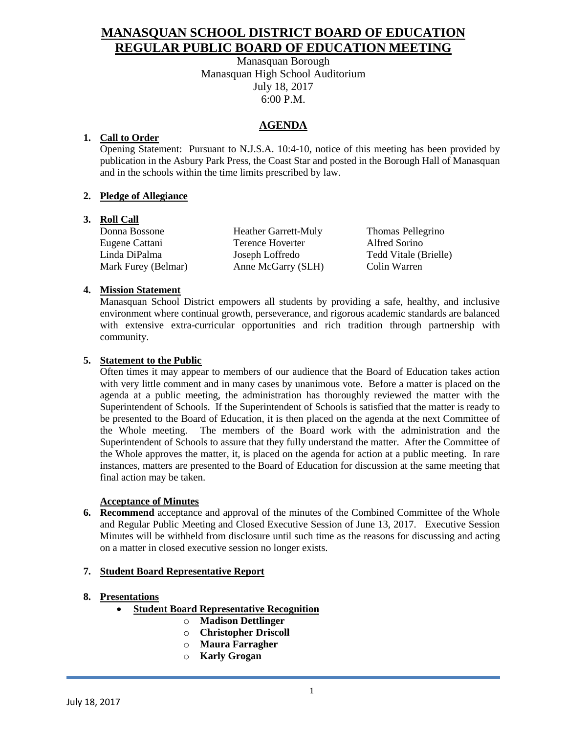# **MANASQUAN SCHOOL DISTRICT BOARD OF EDUCATION REGULAR PUBLIC BOARD OF EDUCATION MEETING**

Manasquan Borough Manasquan High School Auditorium July 18, 2017 6:00 P.M.

# **AGENDA**

#### **1. Call to Order**

Opening Statement: Pursuant to N.J.S.A. 10:4-10, notice of this meeting has been provided by publication in the Asbury Park Press, the Coast Star and posted in the Borough Hall of Manasquan and in the schools within the time limits prescribed by law.

#### **2. Pledge of Allegiance**

#### **3. Roll Call**

Donna Bossone Heather Garrett-Muly Thomas Pellegrino Eugene Cattani Terence Hoverter Alfred Sorino Linda DiPalma Joseph Loffredo Tedd Vitale (Brielle) Mark Furey (Belmar) Anne McGarry (SLH) Colin Warren

### **4. Mission Statement**

Manasquan School District empowers all students by providing a safe, healthy, and inclusive environment where continual growth, perseverance, and rigorous academic standards are balanced with extensive extra-curricular opportunities and rich tradition through partnership with community.

#### **5. Statement to the Public**

Often times it may appear to members of our audience that the Board of Education takes action with very little comment and in many cases by unanimous vote. Before a matter is placed on the agenda at a public meeting, the administration has thoroughly reviewed the matter with the Superintendent of Schools. If the Superintendent of Schools is satisfied that the matter is ready to be presented to the Board of Education, it is then placed on the agenda at the next Committee of the Whole meeting. The members of the Board work with the administration and the Superintendent of Schools to assure that they fully understand the matter. After the Committee of the Whole approves the matter, it, is placed on the agenda for action at a public meeting. In rare instances, matters are presented to the Board of Education for discussion at the same meeting that final action may be taken.

#### **Acceptance of Minutes**

**6. Recommend** acceptance and approval of the minutes of the Combined Committee of the Whole and Regular Public Meeting and Closed Executive Session of June 13, 2017. Executive Session Minutes will be withheld from disclosure until such time as the reasons for discussing and acting on a matter in closed executive session no longer exists.

#### **7. Student Board Representative Report**

#### **8. Presentations**

- **Student Board Representative Recognition**
	- o **Madison Dettlinger**
	- o **Christopher Driscoll**
	- o **Maura Farragher**
	- o **Karly Grogan**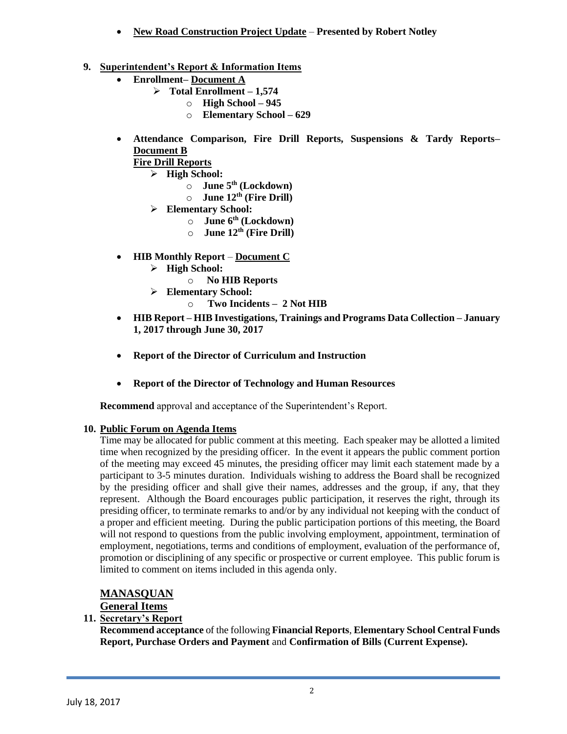- **New Road Construction Project Update Presented by Robert Notley**
- **9. Superintendent's Report & Information Items**
	- **Enrollment– Document A**
		- $\triangleright$  Total Enrollment 1,574
			- o **High School – 945**
			- o **Elementary School – 629**
	- **Attendance Comparison, Fire Drill Reports, Suspensions & Tardy Reports– Document B**

#### **Fire Drill Reports**

- **High School:**
	- o **June 5 th (Lockdown)**
	- o **June 12th (Fire Drill)**
- **Elementary School:**
	- o **June 6th (Lockdown)**
	- o **June 12th (Fire Drill)**
- **HIB Monthly Report Document C**
	- **High School:**
		- o **No HIB Reports**
	- **Elementary School:**
		- o **Two Incidents 2 Not HIB**
- **HIB Report – HIB Investigations, Trainings and Programs Data Collection – January 1, 2017 through June 30, 2017**
- **Report of the Director of Curriculum and Instruction**
- **Report of the Director of Technology and Human Resources**

**Recommend** approval and acceptance of the Superintendent's Report.

#### **10. Public Forum on Agenda Items**

Time may be allocated for public comment at this meeting. Each speaker may be allotted a limited time when recognized by the presiding officer. In the event it appears the public comment portion of the meeting may exceed 45 minutes, the presiding officer may limit each statement made by a participant to 3-5 minutes duration. Individuals wishing to address the Board shall be recognized by the presiding officer and shall give their names, addresses and the group, if any, that they represent. Although the Board encourages public participation, it reserves the right, through its presiding officer, to terminate remarks to and/or by any individual not keeping with the conduct of a proper and efficient meeting. During the public participation portions of this meeting, the Board will not respond to questions from the public involving employment, appointment, termination of employment, negotiations, terms and conditions of employment, evaluation of the performance of, promotion or disciplining of any specific or prospective or current employee. This public forum is limited to comment on items included in this agenda only.

#### **MANASQUAN**

#### **General Items**

#### **11. Secretary's Report**

**Recommend acceptance** of the following **Financial Reports**, **Elementary School Central Funds Report, Purchase Orders and Payment** and **Confirmation of Bills (Current Expense).**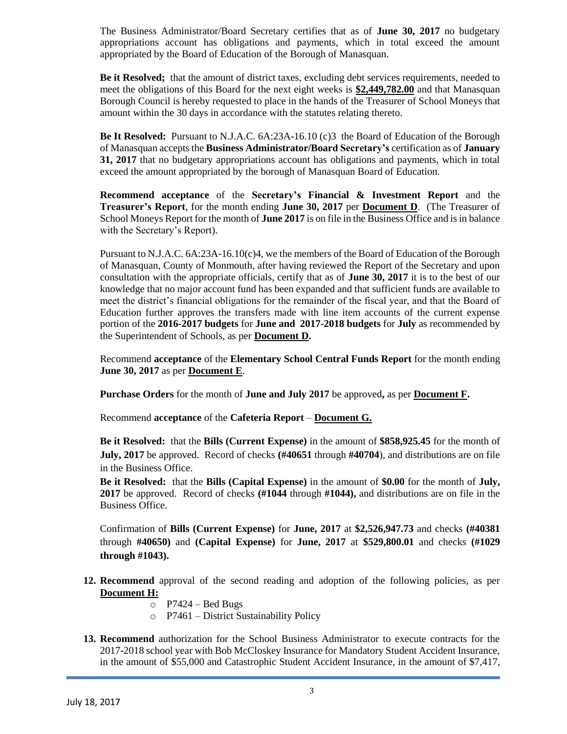The Business Administrator/Board Secretary certifies that as of **June 30, 2017** no budgetary appropriations account has obligations and payments, which in total exceed the amount appropriated by the Board of Education of the Borough of Manasquan.

**Be it Resolved;** that the amount of district taxes, excluding debt services requirements, needed to meet the obligations of this Board for the next eight weeks is **\$2,449,782.00** and that Manasquan Borough Council is hereby requested to place in the hands of the Treasurer of School Moneys that amount within the 30 days in accordance with the statutes relating thereto.

**Be It Resolved:** Pursuant to N.J.A.C. 6A:23A-16.10 (c)3 the Board of Education of the Borough of Manasquan accepts the **Business Administrator/Board Secretary's** certification as of **January 31, 2017** that no budgetary appropriations account has obligations and payments, which in total exceed the amount appropriated by the borough of Manasquan Board of Education.

**Recommend acceptance** of the **Secretary's Financial & Investment Report** and the **Treasurer's Report**, for the month ending **June 30, 2017** per **Document D**. (The Treasurer of School Moneys Report for the month of **June 2017** is on file in the Business Office and is in balance with the Secretary's Report).

Pursuant to N.J.A.C. 6A:23A-16.10(c)4, we the members of the Board of Education of the Borough of Manasquan, County of Monmouth, after having reviewed the Report of the Secretary and upon consultation with the appropriate officials, certify that as of **June 30, 2017** it is to the best of our knowledge that no major account fund has been expanded and that sufficient funds are available to meet the district's financial obligations for the remainder of the fiscal year, and that the Board of Education further approves the transfers made with line item accounts of the current expense portion of the **2016-2017 budgets** for **June and 2017-2018 budgets** for **July** as recommended by the Superintendent of Schools, as per **Document D.**

Recommend **acceptance** of the **Elementary School Central Funds Report** for the month ending **June 30, 2017** as per **Document E**.

**Purchase Orders** for the month of **June and July 2017** be approved**,** as per **Document F.**

Recommend **acceptance** of the **Cafeteria Report** – **Document G.**

**Be it Resolved:** that the **Bills (Current Expense)** in the amount of **\$858,925.45** for the month of **July, 2017** be approved. Record of checks **(#40651** through **#40704**), and distributions are on file in the Business Office.

**Be it Resolved:** that the **Bills (Capital Expense)** in the amount of **\$0.00** for the month of **July, 2017** be approved. Record of checks **(#1044** through **#1044),** and distributions are on file in the Business Office.

Confirmation of **Bills (Current Expense)** for **June, 2017** at **\$2,526,947.73** and checks **(#40381** through **#40650)** and **(Capital Expense)** for **June, 2017** at **\$529,800.01** and checks **(#1029 through #1043).**

- **12. Recommend** approval of the second reading and adoption of the following policies, as per **Document H:**
	- $\circ$  P7424 Bed Bugs
	- o P7461 District Sustainability Policy
- **13. Recommend** authorization for the School Business Administrator to execute contracts for the 2017-2018 school year with Bob McCloskey Insurance for Mandatory Student Accident Insurance, in the amount of \$55,000 and Catastrophic Student Accident Insurance, in the amount of \$7,417,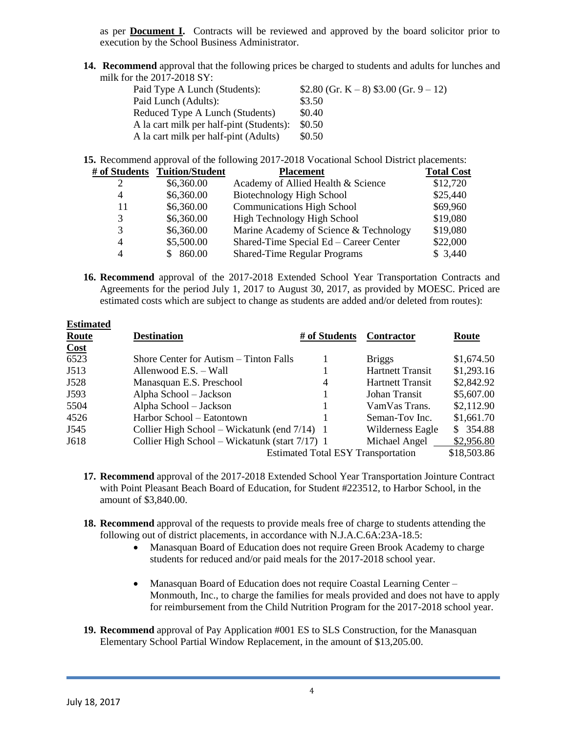as per **Document I.** Contracts will be reviewed and approved by the board solicitor prior to execution by the School Business Administrator.

**14. Recommend** approval that the following prices be charged to students and adults for lunches and milk for the 2017-2018 SY:

| Paid Type A Lunch (Students):            | $$2.80$ (Gr. K – 8) \$3.00 (Gr. 9 – 12) |
|------------------------------------------|-----------------------------------------|
| Paid Lunch (Adults):                     | \$3.50                                  |
| Reduced Type A Lunch (Students)          | \$0.40                                  |
| A la cart milk per half-pint (Students): | \$0.50                                  |
| A la cart milk per half-pint (Adults)    | \$0.50                                  |

**15.** Recommend approval of the following 2017-2018 Vocational School District placements:

|    | # of Students Tuition/Student | <b>Placement</b>                       | <b>Total Cost</b> |
|----|-------------------------------|----------------------------------------|-------------------|
|    | \$6,360.00                    | Academy of Allied Health & Science     | \$12,720          |
| 4  | \$6,360.00                    | Biotechnology High School              | \$25,440          |
| 11 | \$6,360.00                    | <b>Communications High School</b>      | \$69,960          |
|    | \$6,360.00                    | High Technology High School            | \$19,080          |
| 3  | \$6,360.00                    | Marine Academy of Science & Technology | \$19,080          |
| 4  | \$5,500.00                    | Shared-Time Special Ed – Career Center | \$22,000          |
| Δ  | \$860.00                      | <b>Shared-Time Regular Programs</b>    | \$3,440           |

**16. Recommend** approval of the 2017-2018 Extended School Year Transportation Contracts and Agreements for the period July 1, 2017 to August 30, 2017, as provided by MOESC. Priced are estimated costs which are subject to change as students are added and/or deleted from routes):

| <b>Estimated</b> |                                                 |                                           |                         |             |
|------------------|-------------------------------------------------|-------------------------------------------|-------------------------|-------------|
| Route            | <b>Destination</b>                              | # of Students                             | <b>Contractor</b>       | Route       |
| Cost             |                                                 |                                           |                         |             |
| 6523             | Shore Center for Autism – Tinton Falls          |                                           | <b>Briggs</b>           | \$1,674.50  |
| J513             | Allenwood $E.S. - Wall$                         |                                           | <b>Hartnett Transit</b> | \$1,293.16  |
| J528             | Manasquan E.S. Preschool                        | 4                                         | <b>Hartnett Transit</b> | \$2,842.92  |
| J593             | Alpha School - Jackson                          |                                           | Johan Transit           | \$5,607.00  |
| 5504             | Alpha School - Jackson                          |                                           | VamVas Trans.           | \$2,112.90  |
| 4526             | Harbor School – Eatontown                       |                                           | Seman-Toy Inc.          | \$1,661.70  |
| J545             | Collier High School – Wickatunk (end $7/14$ ) 1 |                                           | Wilderness Eagle        | \$354.88    |
| J618             | Collier High School – Wickatunk (start 7/17) 1  |                                           | Michael Angel           | \$2,956.80  |
|                  |                                                 | <b>Estimated Total ESY Transportation</b> |                         | \$18,503.86 |

- **17. Recommend** approval of the 2017-2018 Extended School Year Transportation Jointure Contract with Point Pleasant Beach Board of Education, for Student #223512, to Harbor School, in the amount of \$3,840.00.
- **18. Recommend** approval of the requests to provide meals free of charge to students attending the following out of district placements, in accordance with N.J.A.C.6A:23A-18.5:
	- Manasquan Board of Education does not require Green Brook Academy to charge students for reduced and/or paid meals for the 2017-2018 school year.
	- Manasquan Board of Education does not require Coastal Learning Center Monmouth, Inc., to charge the families for meals provided and does not have to apply for reimbursement from the Child Nutrition Program for the 2017-2018 school year.
- **19. Recommend** approval of Pay Application #001 ES to SLS Construction, for the Manasquan Elementary School Partial Window Replacement, in the amount of \$13,205.00.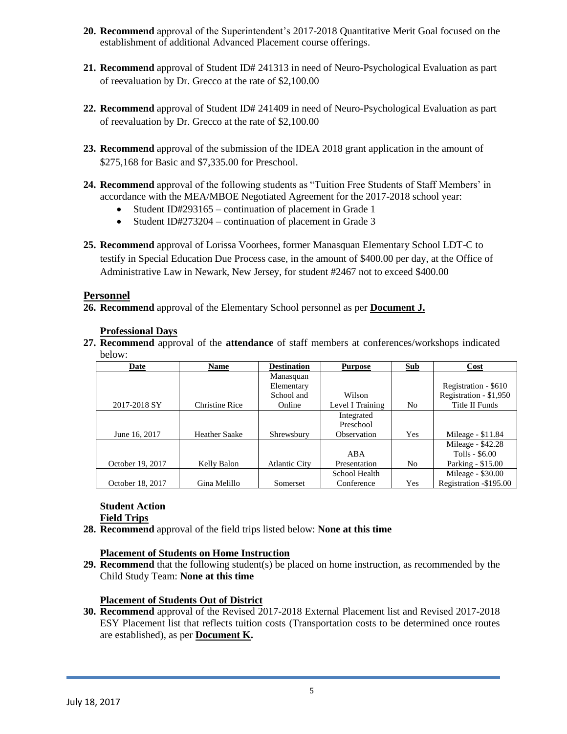- **20. Recommend** approval of the Superintendent's 2017-2018 Quantitative Merit Goal focused on the establishment of additional Advanced Placement course offerings.
- **21. Recommend** approval of Student ID# 241313 in need of Neuro-Psychological Evaluation as part of reevaluation by Dr. Grecco at the rate of \$2,100.00
- **22. Recommend** approval of Student ID# 241409 in need of Neuro-Psychological Evaluation as part of reevaluation by Dr. Grecco at the rate of \$2,100.00
- **23. Recommend** approval of the submission of the IDEA 2018 grant application in the amount of \$275,168 for Basic and \$7,335.00 for Preschool.
- **24. Recommend** approval of the following students as "Tuition Free Students of Staff Members' in accordance with the MEA/MBOE Negotiated Agreement for the 2017-2018 school year:
	- Student ID#293165 continuation of placement in Grade 1
	- Student ID#273204 continuation of placement in Grade 3
- **25. Recommend** approval of Lorissa Voorhees, former Manasquan Elementary School LDT-C to testify in Special Education Due Process case, in the amount of \$400.00 per day, at the Office of Administrative Law in Newark, New Jersey, for student #2467 not to exceed \$400.00

#### **Personnel**

**26. Recommend** approval of the Elementary School personnel as per **Document J.**

#### **Professional Days**

**27. Recommend** approval of the **attendance** of staff members at conferences/workshops indicated below:

| Date             | Name                  | <b>Destination</b>   | <b>Purpose</b>   | <b>Sub</b> | Cost                   |
|------------------|-----------------------|----------------------|------------------|------------|------------------------|
|                  |                       | Manasquan            |                  |            |                        |
|                  |                       | Elementary           |                  |            | Registration - \$610   |
|                  |                       | School and           | Wilson           |            | Registration - \$1,950 |
| 2017-2018 SY     | <b>Christine Rice</b> | Online               | Level I Training | No         | Title II Funds         |
|                  |                       |                      | Integrated       |            |                        |
|                  |                       |                      | Preschool        |            |                        |
| June 16, 2017    | <b>Heather Saake</b>  | Shrewsbury           | Observation      | Yes        | Mileage - \$11.84      |
|                  |                       |                      |                  |            | Mileage - \$42.28      |
|                  |                       |                      | ABA              |            | Tolls - \$6.00         |
| October 19, 2017 | Kelly Balon           | <b>Atlantic City</b> | Presentation     | No         | Parking - \$15.00      |
|                  |                       |                      | School Health    |            | Mileage - \$30.00      |
| October 18, 2017 | Gina Melillo          | Somerset             | Conference       | Yes        | Registration -\$195.00 |

# **Student Action**

- **Field Trips**
- **28. Recommend** approval of the field trips listed below: **None at this time**

#### **Placement of Students on Home Instruction**

**29. Recommend** that the following student(s) be placed on home instruction, as recommended by the Child Study Team: **None at this time**

#### **Placement of Students Out of District**

**30. Recommend** approval of the Revised 2017-2018 External Placement list and Revised 2017-2018 ESY Placement list that reflects tuition costs (Transportation costs to be determined once routes are established), as per **Document K.**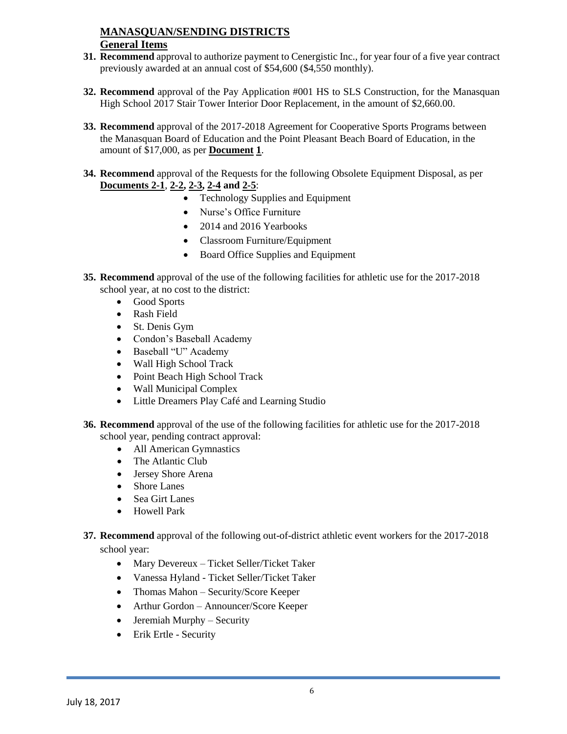#### **MANASQUAN/SENDING DISTRICTS General Items**

- **31. Recommend** approval to authorize payment to Cenergistic Inc., for year four of a five year contract previously awarded at an annual cost of \$54,600 (\$4,550 monthly).
- **32. Recommend** approval of the Pay Application #001 HS to SLS Construction, for the Manasquan High School 2017 Stair Tower Interior Door Replacement, in the amount of \$2,660.00.
- **33. Recommend** approval of the 2017-2018 Agreement for Cooperative Sports Programs between the Manasquan Board of Education and the Point Pleasant Beach Board of Education, in the amount of \$17,000, as per **Document 1**.
- **34. Recommend** approval of the Requests for the following Obsolete Equipment Disposal, as per **Documents 2-1**, **2-2, 2-3, 2-4 and 2-5**:
	- Technology Supplies and Equipment
	- Nurse's Office Furniture
	- 2014 and 2016 Yearbooks
	- Classroom Furniture/Equipment
	- Board Office Supplies and Equipment
- **35. Recommend** approval of the use of the following facilities for athletic use for the 2017-2018 school year, at no cost to the district:
	- Good Sports
	- Rash Field
	- St. Denis Gym
	- Condon's Baseball Academy
	- Baseball "U" Academy
	- Wall High School Track
	- Point Beach High School Track
	- Wall Municipal Complex
	- Little Dreamers Play Café and Learning Studio
- **36. Recommend** approval of the use of the following facilities for athletic use for the 2017-2018 school year, pending contract approval:
	- All American Gymnastics
	- The Atlantic Club
	- Jersey Shore Arena
	- Shore Lanes
	- Sea Girt Lanes
	- Howell Park
- **37. Recommend** approval of the following out-of-district athletic event workers for the 2017-2018 school year:
	- Mary Devereux Ticket Seller/Ticket Taker
	- Vanessa Hyland Ticket Seller/Ticket Taker
	- Thomas Mahon Security/Score Keeper
	- Arthur Gordon Announcer/Score Keeper
	- $\bullet$  Jeremiah Murphy Security
	- Erik Ertle Security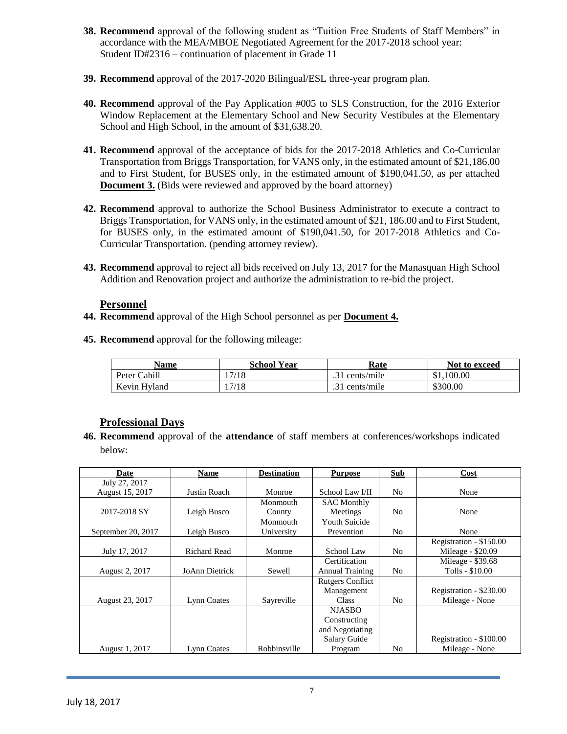- **38. Recommend** approval of the following student as "Tuition Free Students of Staff Members" in accordance with the MEA/MBOE Negotiated Agreement for the 2017-2018 school year: Student ID#2316 – continuation of placement in Grade 11
- **39. Recommend** approval of the 2017-2020 Bilingual/ESL three-year program plan.
- **40. Recommend** approval of the Pay Application #005 to SLS Construction, for the 2016 Exterior Window Replacement at the Elementary School and New Security Vestibules at the Elementary School and High School, in the amount of \$31,638.20.
- **41. Recommend** approval of the acceptance of bids for the 2017-2018 Athletics and Co-Curricular Transportation from Briggs Transportation, for VANS only, in the estimated amount of \$21,186.00 and to First Student, for BUSES only, in the estimated amount of \$190,041.50, as per attached **Document 3.** (Bids were reviewed and approved by the board attorney)
- **42. Recommend** approval to authorize the School Business Administrator to execute a contract to Briggs Transportation, for VANS only, in the estimated amount of \$21, 186.00 and to First Student, for BUSES only, in the estimated amount of \$190,041.50, for 2017-2018 Athletics and Co-Curricular Transportation. (pending attorney review).
- **43. Recommend** approval to reject all bids received on July 13, 2017 for the Manasquan High School Addition and Renovation project and authorize the administration to re-bid the project.

#### **Personnel**

- **44. Recommend** approval of the High School personnel as per **Document 4.**
- **45. Recommend** approval for the following mileage:

| <b>Name</b>  | School Year | Rate                | Not to exceed |
|--------------|-------------|---------------------|---------------|
| Peter Cahill | !7/18       | .31 cents/mile      | \$1,100.00    |
| Kevin Hyland | 17/18       | $\gamma$ cents/mile | \$300.00      |

#### **Professional Days**

**46. Recommend** approval of the **attendance** of staff members at conferences/workshops indicated below:

| Date               | <b>Name</b>         | <b>Destination</b> | <b>Purpose</b>          | Sub            | Cost                    |
|--------------------|---------------------|--------------------|-------------------------|----------------|-------------------------|
| July 27, 2017      |                     |                    |                         |                |                         |
| August 15, 2017    | Justin Roach        | Monroe             | School Law I/II         | N <sub>0</sub> | None                    |
|                    |                     | Monmouth           | <b>SAC Monthly</b>      |                |                         |
| 2017-2018 SY       | Leigh Busco         | County             | Meetings                | N <sub>0</sub> | None                    |
|                    |                     | Monmouth           | Youth Suicide           |                |                         |
| September 20, 2017 | Leigh Busco         | University         | Prevention              | N <sub>0</sub> | None                    |
|                    |                     |                    |                         |                | Registration - \$150.00 |
| July 17, 2017      | <b>Richard Read</b> | Monroe             | School Law              | N <sub>o</sub> | Mileage - \$20.09       |
|                    |                     |                    | Certification           |                | Mileage - \$39.68       |
| August 2, 2017     | JoAnn Dietrick      | Sewell             | Annual Training         | N <sub>0</sub> | Tolls - \$10.00         |
|                    |                     |                    | <b>Rutgers Conflict</b> |                |                         |
|                    |                     |                    | Management              |                | Registration - \$230.00 |
| August 23, 2017    | Lynn Coates         | Sayreville         | <b>Class</b>            | N <sub>0</sub> | Mileage - None          |
|                    |                     |                    | <b>NJASBO</b>           |                |                         |
|                    |                     |                    | Constructing            |                |                         |
|                    |                     |                    | and Negotiating         |                |                         |
|                    |                     |                    | Salary Guide            |                | Registration - \$100.00 |
| August 1, 2017     | Lynn Coates         | Robbinsville       | Program                 | No             | Mileage - None          |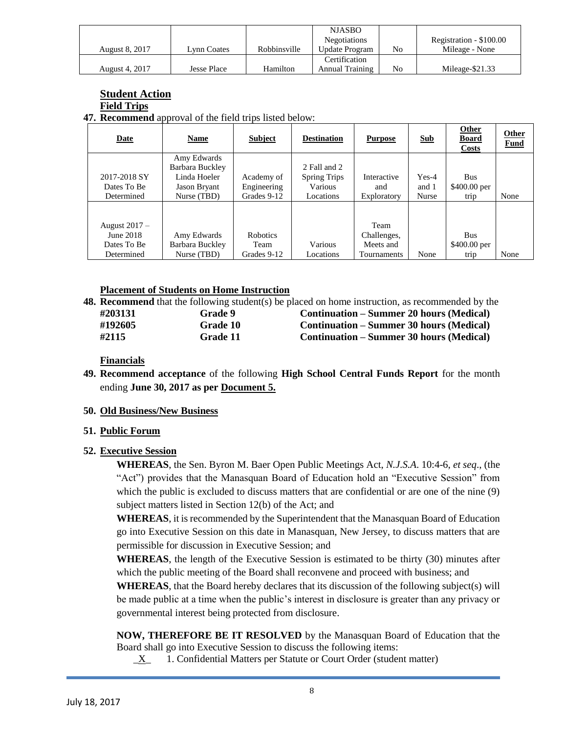| August 8, 2017 | Lynn Coates | Robbinsville | <b>NJASBO</b><br><b>Negotiations</b><br>Update Program | No | Registration - \$100.00<br>Mileage - None |
|----------------|-------------|--------------|--------------------------------------------------------|----|-------------------------------------------|
| August 4, 2017 | Jesse Place | Hamilton     | Certification<br>Annual Training                       | No | Mileage-\$21.33                           |

# **Student Action**

#### **Field Trips**

**47. Recommend** approval of the field trips listed below:

| <b>Date</b>                                               | Name                                                                                 | <b>Subject</b>                           | <b>Destination</b>                                          | <b>Purpose</b>                                  | Sub                       | Other<br>Board<br>Costs            | Other<br><b>Fund</b> |
|-----------------------------------------------------------|--------------------------------------------------------------------------------------|------------------------------------------|-------------------------------------------------------------|-------------------------------------------------|---------------------------|------------------------------------|----------------------|
| 2017-2018 SY<br>Dates To Be<br>Determined                 | Amy Edwards<br>Barbara Buckley<br>Linda Hoeler<br><b>Jason Bryant</b><br>Nurse (TBD) | Academy of<br>Engineering<br>Grades 9-12 | 2 Fall and 2<br><b>Spring Trips</b><br>Various<br>Locations | Interactive<br>and<br>Exploratory               | $Yes-4$<br>and 1<br>Nurse | <b>Bus</b><br>\$400.00 per<br>trip | None                 |
| August $2017 -$<br>June 2018<br>Dates To Be<br>Determined | Amy Edwards<br>Barbara Buckley<br>Nurse (TBD)                                        | <b>Robotics</b><br>Team<br>Grades 9-12   | Various<br>Locations                                        | Team<br>Challenges,<br>Meets and<br>Tournaments | None                      | <b>Bus</b><br>\$400.00 per<br>trip | None                 |

#### **Placement of Students on Home Instruction**

|         |                | <b>48. Recommend</b> that the following student(s) be placed on home instruction, as recommended by the |
|---------|----------------|---------------------------------------------------------------------------------------------------------|
| #203131 | <b>Grade</b> 9 | <b>Continuation – Summer 20 hours (Medical)</b>                                                         |
| #192605 | Grade 10       | <b>Continuation – Summer 30 hours (Medical)</b>                                                         |
| #2115   | Grade 11       | <b>Continuation – Summer 30 hours (Medical)</b>                                                         |
|         |                |                                                                                                         |

**Financials**

**49. Recommend acceptance** of the following **High School Central Funds Report** for the month ending **June 30, 2017 as per Document 5.**

#### **50. Old Business/New Business**

#### **51. Public Forum**

#### **52. Executive Session**

**WHEREAS**, the Sen. Byron M. Baer Open Public Meetings Act, *N.J.S.A*. 10:4-6, *et seq*., (the "Act") provides that the Manasquan Board of Education hold an "Executive Session" from which the public is excluded to discuss matters that are confidential or are one of the nine (9) subject matters listed in Section 12(b) of the Act; and

**WHEREAS**, it is recommended by the Superintendent that the Manasquan Board of Education go into Executive Session on this date in Manasquan, New Jersey, to discuss matters that are permissible for discussion in Executive Session; and

**WHEREAS**, the length of the Executive Session is estimated to be thirty (30) minutes after which the public meeting of the Board shall reconvene and proceed with business; and

**WHEREAS**, that the Board hereby declares that its discussion of the following subject(s) will be made public at a time when the public's interest in disclosure is greater than any privacy or governmental interest being protected from disclosure.

**NOW, THEREFORE BE IT RESOLVED** by the Manasquan Board of Education that the Board shall go into Executive Session to discuss the following items:

 $X_$  1. Confidential Matters per Statute or Court Order (student matter)